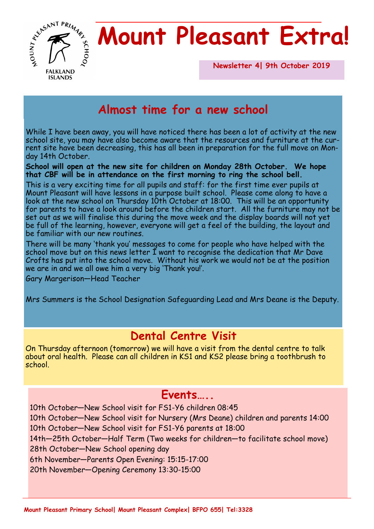

## **Mount Pleasant Extra!**

**Newsletter 4| 9th October 2019** 

## **Almost time for a new school**

While I have been away, you will have noticed there has been a lot of activity at the new school site, you may have also become aware that the resources and furniture at the current site have been decreasing, this has all been in preparation for the full move on Monday 14th October.

**School will open at the new site for children on Monday 28th October. We hope that CBF will be in attendance on the first morning to ring the school bell.**

This is a very exciting time for all pupils and staff: for the first time ever pupils at Mount Pleasant will have lessons in a purpose built school. Please come along to have a look at the new school on Thursday 10th October at 18:00. This will be an opportunity for parents to have a look around before the children start. All the furniture may not be set out as we will finalise this during the move week and the display boards will not yet be full of the learning, however, everyone will get a feel of the building, the layout and be familiar with our new routines.

There will be many 'thank you' messages to come for people who have helped with the school move but on this news letter I want to recognise the dedication that Mr Dave Crofts has put into the school move. Without his work we would not be at the position we are in and we all owe him a very big 'Thank you!'.

Gary Margerison—Head Teacher

Mrs Summers is the School Designation Safeguarding Lead and Mrs Deane is the Deputy.

#### **Dental Centre Visit**

On Thursday afternoon (tomorrow) we will have a visit from the dental centre to talk about oral health. Please can all children in KS1 and KS2 please bring a toothbrush to school.

#### **Events…..**

10th October—New School visit for FS1-Y6 children 08:45

10th October—New School visit for Nursery (Mrs Deane) children and parents 14:00 10th October—New School visit for FS1-Y6 parents at 18:00

14th—25th October—Half Term (Two weeks for children—to facilitate school move)

28th October—New School opening day

6th November—Parents Open Evening: 15:15-17:00

20th November—Opening Ceremony 13:30-15:00